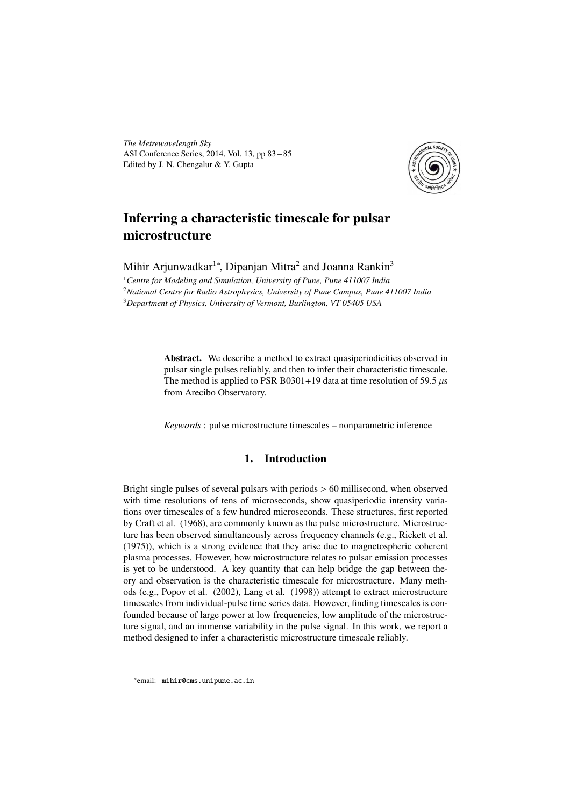*The Metrewavelength Sky* ASI Conference Series, 2014, Vol. 13, pp 83 – 85 Edited by J. N. Chengalur & Y. Gupta



# Inferring a characteristic timescale for pulsar microstructure

Mihir Arjunwadkar<sup>1∗</sup>, Dipanjan Mitra<sup>2</sup> and Joanna Rankin<sup>3</sup>

<sup>1</sup>*Centre for Modeling and Simulation, University of Pune, Pune 411007 India* <sup>2</sup>*National Centre for Radio Astrophysics, University of Pune Campus, Pune 411007 India* <sup>3</sup>*Department of Physics, University of Vermont, Burlington, VT 05405 USA*

> Abstract. We describe a method to extract quasiperiodicities observed in pulsar single pulses reliably, and then to infer their characteristic timescale. The method is applied to PSR B0301+19 data at time resolution of 59.5  $\mu$ s from Arecibo Observatory.

*Keywords* : pulse microstructure timescales – nonparametric inference

### 1. Introduction

Bright single pulses of several pulsars with periods > 60 millisecond, when observed with time resolutions of tens of microseconds, show quasiperiodic intensity variations over timescales of a few hundred microseconds. These structures, first reported by Craft et al. (1968), are commonly known as the pulse microstructure. Microstructure has been observed simultaneously across frequency channels (e.g., Rickett et al. (1975)), which is a strong evidence that they arise due to magnetospheric coherent plasma processes. However, how microstructure relates to pulsar emission processes is yet to be understood. A key quantity that can help bridge the gap between theory and observation is the characteristic timescale for microstructure. Many methods (e.g., Popov et al. (2002), Lang et al. (1998)) attempt to extract microstructure timescales from individual-pulse time series data. However, finding timescales is confounded because of large power at low frequencies, low amplitude of the microstructure signal, and an immense variability in the pulse signal. In this work, we report a method designed to infer a characteristic microstructure timescale reliably.

<sup>∗</sup> email: <sup>1</sup>mihir@cms.unipune.ac.in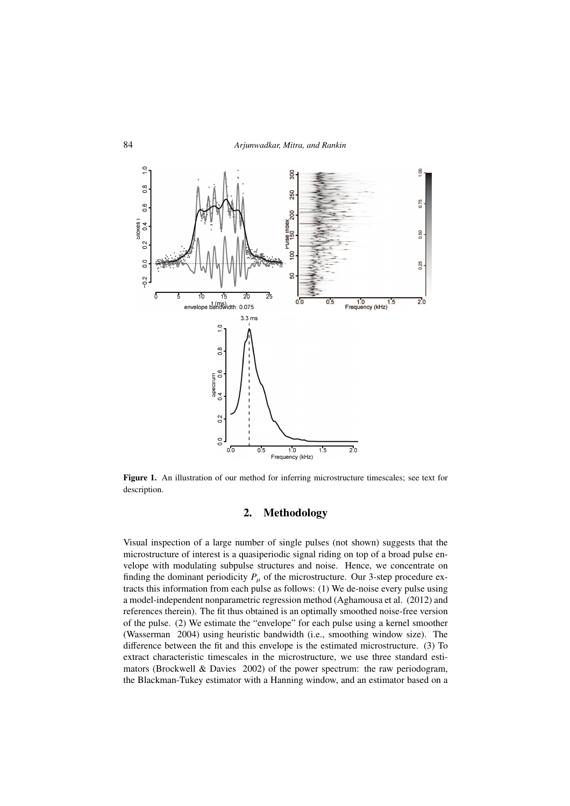

Figure 1. An illustration of our method for inferring microstructure timescales; see text for description.

## 2. Methodology

Visual inspection of a large number of single pulses (not shown) suggests that the microstructure of interest is a quasiperiodic signal riding on top of a broad pulse envelope with modulating subpulse structures and noise. Hence, we concentrate on finding the dominant periodicity  $P_{\mu}$  of the microstructure. Our 3-step procedure extracts this information from each pulse as follows: (1) We de-noise every pulse using a model-independent nonparametric regression method (Aghamousa et al. (2012) and references therein). The fit thus obtained is an optimally smoothed noise-free version of the pulse. (2) We estimate the "envelope" for each pulse using a kernel smoother (Wasserman 2004) using heuristic bandwidth (i.e., smoothing window size). The difference between the fit and this envelope is the estimated microstructure. (3) To extract characteristic timescales in the microstructure, we use three standard estimators (Brockwell & Davies 2002) of the power spectrum: the raw periodogram, the Blackman-Tukey estimator with a Hanning window, and an estimator based on a